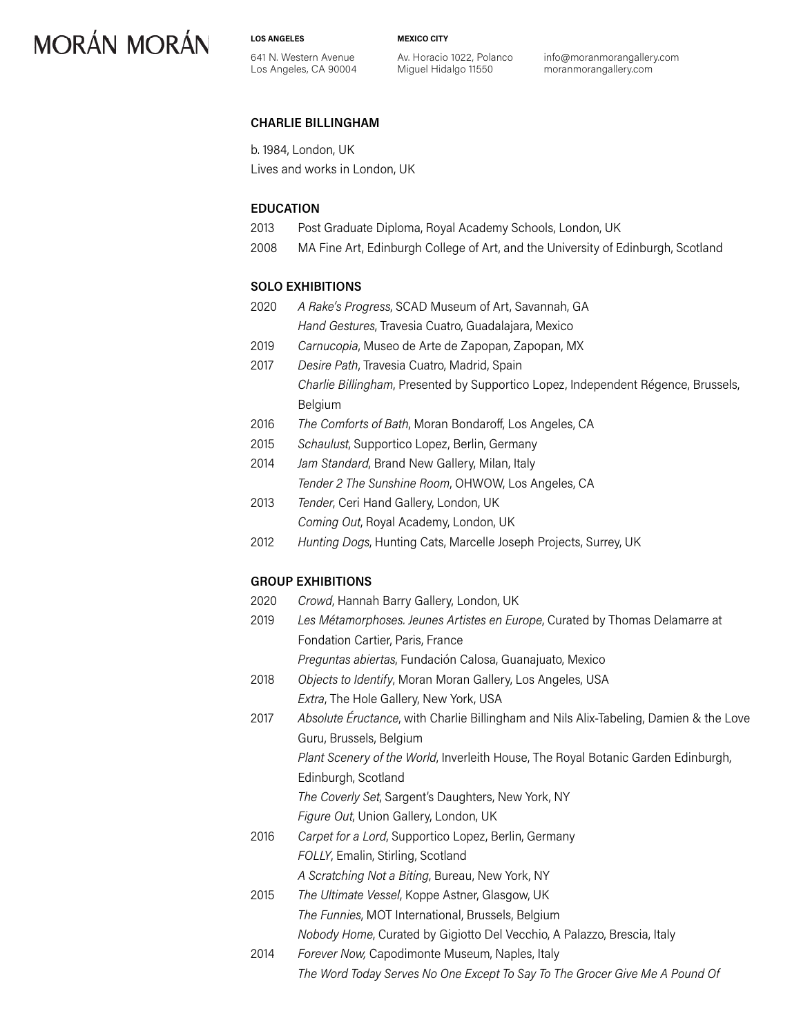# **MORÁN MORÁN**

**LOS ANGELES**

641 N. Western Avenue Los Angeles, CA 90004 **MEXICO CITY** Av. Horacio 1022, Polanco Miguel Hidalgo 11550

info@moranmorangallery.com moranmorangallery.com

## **CHARLIE BILLINGHAM**

b. 1984, London, UK

Lives and works in London, UK

### **EDUCATION**

- 2013 Post Graduate Diploma, Royal Academy Schools, London, UK
- 2008 MA Fine Art, Edinburgh College of Art, and the University of Edinburgh, Scotland

### **SOLO EXHIBITIONS**

- 2020 *A Rake's Progress*, SCAD Museum of Art, Savannah, GA *Hand Gestures*, Travesia Cuatro, Guadalajara, Mexico
- 2019 *Carnucopia*, Museo de Arte de Zapopan, Zapopan, MX
- 2017 *Desire Path*, Travesia Cuatro, Madrid, Spain *Charlie Billingham*, Presented by Supportico Lopez, Independent Régence, Brussels, Belgium
- 2016 *The Comforts of Bath*, Moran Bondaroff, Los Angeles, CA
- 2015 *Schaulust*, Supportico Lopez, Berlin, Germany
- 2014 *Jam Standard*, Brand New Gallery, Milan, Italy *Tender 2 The Sunshine Room*, OHWOW, Los Angeles, CA
- 2013 *Tender*, Ceri Hand Gallery, London, UK *Coming Out*, Royal Academy, London, UK
- 2012 *Hunting Dogs*, Hunting Cats, Marcelle Joseph Projects, Surrey, UK

## **GROUP EXHIBITIONS**

- 2020 *Crowd*, Hannah Barry Gallery, London, UK
- 2019 *Les Métamorphoses. Jeunes Artistes en Europe*, Curated by Thomas Delamarre at Fondation Cartier, Paris, France
	- *Preguntas abiertas*, Fundación Calosa, Guanajuato, Mexico
- 2018 *Objects to Identify*, Moran Moran Gallery, Los Angeles, USA *Extra*, The Hole Gallery, New York, USA
- 2017 *Absolute Éructance*, with Charlie Billingham and Nils Alix-Tabeling, Damien & the Love Guru, Brussels, Belgium

*Plant Scenery of the World*, Inverleith House, The Royal Botanic Garden Edinburgh,

Edinburgh, Scotland

*The Coverly Set*, Sargent's Daughters, New York, NY

- *Figure Out*, Union Gallery, London, UK
- 2016 *Carpet for a Lord*, Supportico Lopez, Berlin, Germany *FOLLY*, Emalin, Stirling, Scotland *A Scratching Not a Biting*, Bureau, New York, NY

2015 *The Ultimate Vessel*, Koppe Astner, Glasgow, UK

- *The Funnies*, MOT International, Brussels, Belgium
- *Nobody Home*, Curated by Gigiotto Del Vecchio, A Palazzo, Brescia, Italy
- 2014 *Forever Now,* Capodimonte Museum, Naples, Italy *The Word Today Serves No One Except To Say To The Grocer Give Me A Pound Of*